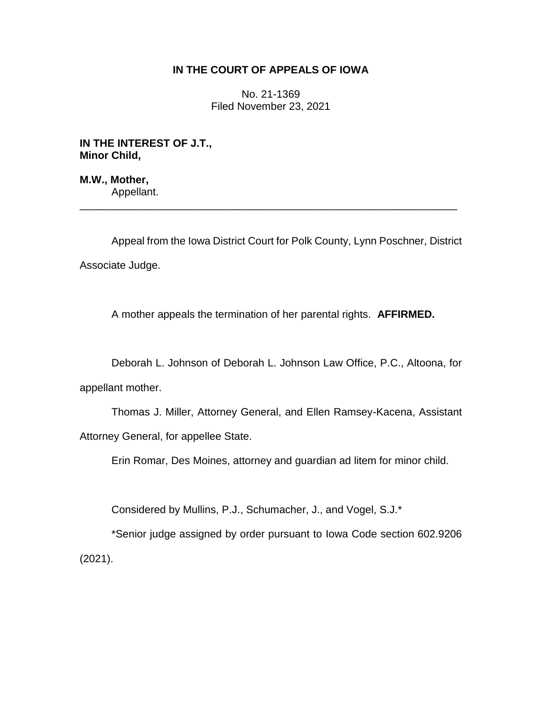## **IN THE COURT OF APPEALS OF IOWA**

No. 21-1369 Filed November 23, 2021

**IN THE INTEREST OF J.T., Minor Child,**

**M.W., Mother,** Appellant.

Appeal from the Iowa District Court for Polk County, Lynn Poschner, District Associate Judge.

\_\_\_\_\_\_\_\_\_\_\_\_\_\_\_\_\_\_\_\_\_\_\_\_\_\_\_\_\_\_\_\_\_\_\_\_\_\_\_\_\_\_\_\_\_\_\_\_\_\_\_\_\_\_\_\_\_\_\_\_\_\_\_\_

A mother appeals the termination of her parental rights. **AFFIRMED.**

Deborah L. Johnson of Deborah L. Johnson Law Office, P.C., Altoona, for appellant mother.

Thomas J. Miller, Attorney General, and Ellen Ramsey-Kacena, Assistant Attorney General, for appellee State.

Erin Romar, Des Moines, attorney and guardian ad litem for minor child.

Considered by Mullins, P.J., Schumacher, J., and Vogel, S.J.\*

\*Senior judge assigned by order pursuant to Iowa Code section 602.9206 (2021).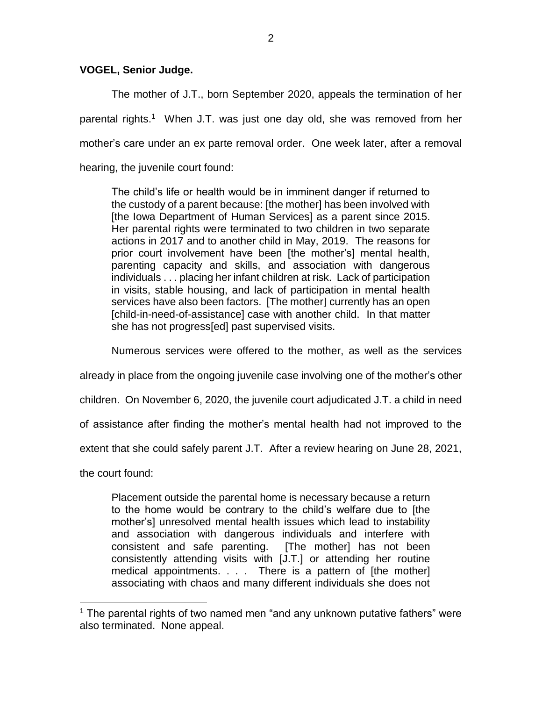## **VOGEL, Senior Judge.**

The mother of J.T., born September 2020, appeals the termination of her parental rights.<sup>1</sup> When J.T. was just one day old, she was removed from her mother's care under an ex parte removal order. One week later, after a removal hearing, the juvenile court found:

The child's life or health would be in imminent danger if returned to the custody of a parent because: [the mother] has been involved with [the Iowa Department of Human Services] as a parent since 2015. Her parental rights were terminated to two children in two separate actions in 2017 and to another child in May, 2019. The reasons for prior court involvement have been [the mother's] mental health, parenting capacity and skills, and association with dangerous individuals . . . placing her infant children at risk. Lack of participation in visits, stable housing, and lack of participation in mental health services have also been factors. [The mother] currently has an open [child-in-need-of-assistance] case with another child. In that matter she has not progress[ed] past supervised visits.

Numerous services were offered to the mother, as well as the services

already in place from the ongoing juvenile case involving one of the mother's other

children. On November 6, 2020, the juvenile court adjudicated J.T. a child in need

of assistance after finding the mother's mental health had not improved to the

extent that she could safely parent J.T. After a review hearing on June 28, 2021,

the court found:

 $\overline{a}$ 

Placement outside the parental home is necessary because a return to the home would be contrary to the child's welfare due to [the mother's] unresolved mental health issues which lead to instability and association with dangerous individuals and interfere with consistent and safe parenting. [The mother] has not been consistently attending visits with [J.T.] or attending her routine medical appointments. . . . There is a pattern of [the mother] associating with chaos and many different individuals she does not

 $1$  The parental rights of two named men "and any unknown putative fathers" were also terminated. None appeal.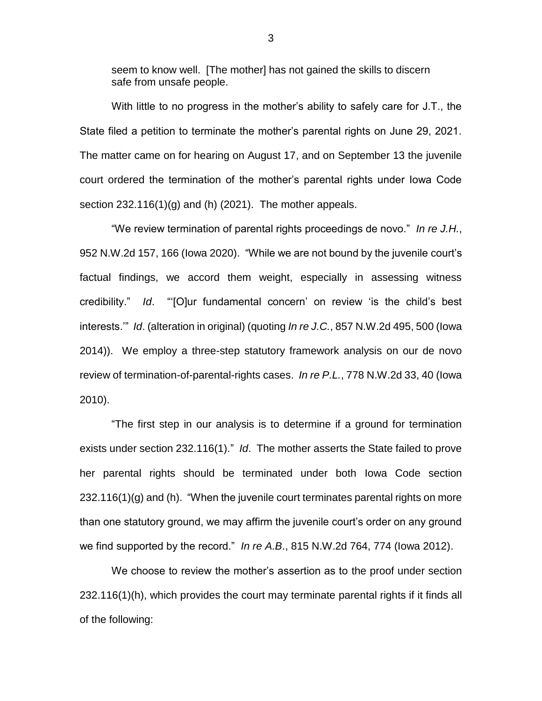seem to know well. [The mother] has not gained the skills to discern safe from unsafe people.

With little to no progress in the mother's ability to safely care for J.T., the State filed a petition to terminate the mother's parental rights on June 29, 2021. The matter came on for hearing on August 17, and on September 13 the juvenile court ordered the termination of the mother's parental rights under Iowa Code section  $232.116(1)(g)$  and (h) (2021). The mother appeals.

"We review termination of parental rights proceedings de novo." *In re J.H.*, 952 N.W.2d 157, 166 (Iowa 2020). "While we are not bound by the juvenile court's factual findings, we accord them weight, especially in assessing witness credibility." *Id*. "'[O]ur fundamental concern' on review 'is the child's best interests.'" *Id*. (alteration in original) (quoting *In re J.C.*, 857 N.W.2d 495, 500 (Iowa 2014)). We employ a three-step statutory framework analysis on our de novo review of termination-of-parental-rights cases. *In re P.L.*, 778 N.W.2d 33, 40 (Iowa 2010).

"The first step in our analysis is to determine if a ground for termination exists under section 232.116(1)." *Id*. The mother asserts the State failed to prove her parental rights should be terminated under both Iowa Code section 232.116(1)(g) and (h). "When the juvenile court terminates parental rights on more than one statutory ground, we may affirm the juvenile court's order on any ground we find supported by the record." *In re A.B*., 815 N.W.2d 764, 774 (Iowa 2012).

We choose to review the mother's assertion as to the proof under section 232.116(1)(h), which provides the court may terminate parental rights if it finds all of the following: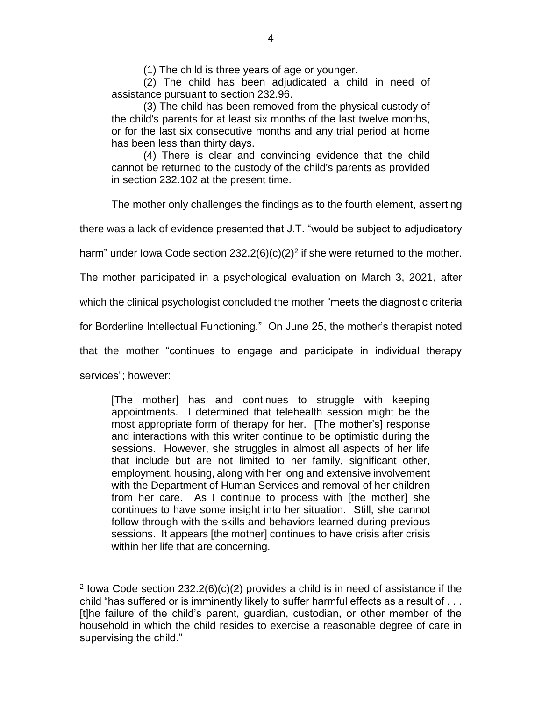(1) The child is three years of age or younger.

(2) The child has been adjudicated a child in need of assistance pursuant to section 232.96.

(3) The child has been removed from the physical custody of the child's parents for at least six months of the last twelve months, or for the last six consecutive months and any trial period at home has been less than thirty days.

(4) There is clear and convincing evidence that the child cannot be returned to the custody of the child's parents as provided in section 232.102 at the present time.

The mother only challenges the findings as to the fourth element, asserting

there was a lack of evidence presented that J.T. "would be subject to adjudicatory

harm" under lowa Code section 232.2(6)(c)(2)<sup>2</sup> if she were returned to the mother.

The mother participated in a psychological evaluation on March 3, 2021, after

which the clinical psychologist concluded the mother "meets the diagnostic criteria

for Borderline Intellectual Functioning." On June 25, the mother's therapist noted

that the mother "continues to engage and participate in individual therapy

services"; however:

 $\overline{a}$ 

[The mother] has and continues to struggle with keeping appointments. I determined that telehealth session might be the most appropriate form of therapy for her. [The mother's] response and interactions with this writer continue to be optimistic during the sessions. However, she struggles in almost all aspects of her life that include but are not limited to her family, significant other, employment, housing, along with her long and extensive involvement with the Department of Human Services and removal of her children from her care. As I continue to process with [the mother] she continues to have some insight into her situation. Still, she cannot follow through with the skills and behaviors learned during previous sessions. It appears [the mother] continues to have crisis after crisis within her life that are concerning.

<sup>&</sup>lt;sup>2</sup> lowa Code section  $232.2(6)(c)(2)$  provides a child is in need of assistance if the child "has suffered or is imminently likely to suffer harmful effects as a result of . . . [t]he failure of the child's parent, guardian, custodian, or other member of the household in which the child resides to exercise a reasonable degree of care in supervising the child."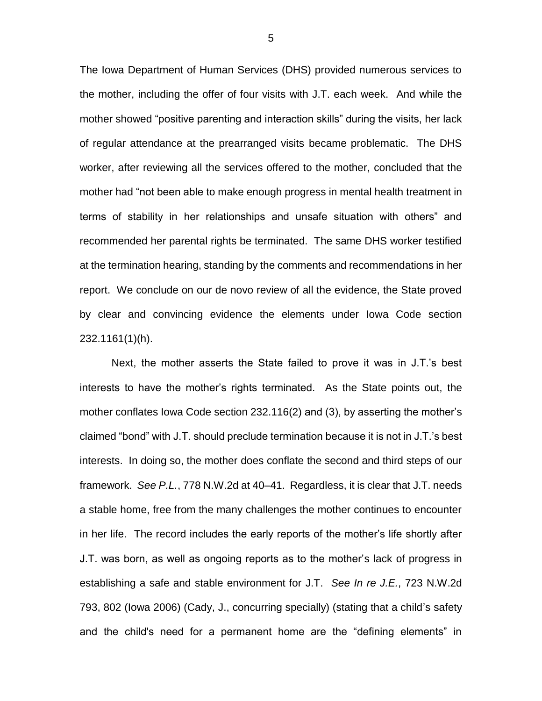The Iowa Department of Human Services (DHS) provided numerous services to the mother, including the offer of four visits with J.T. each week. And while the mother showed "positive parenting and interaction skills" during the visits, her lack of regular attendance at the prearranged visits became problematic. The DHS worker, after reviewing all the services offered to the mother, concluded that the mother had "not been able to make enough progress in mental health treatment in terms of stability in her relationships and unsafe situation with others" and recommended her parental rights be terminated. The same DHS worker testified at the termination hearing, standing by the comments and recommendations in her report. We conclude on our de novo review of all the evidence, the State proved by clear and convincing evidence the elements under Iowa Code section 232.1161(1)(h).

Next, the mother asserts the State failed to prove it was in J.T.'s best interests to have the mother's rights terminated. As the State points out, the mother conflates Iowa Code section 232.116(2) and (3), by asserting the mother's claimed "bond" with J.T. should preclude termination because it is not in J.T.'s best interests. In doing so, the mother does conflate the second and third steps of our framework. *See P.L.*, 778 N.W.2d at 40–41. Regardless, it is clear that J.T. needs a stable home, free from the many challenges the mother continues to encounter in her life. The record includes the early reports of the mother's life shortly after J.T. was born, as well as ongoing reports as to the mother's lack of progress in establishing a safe and stable environment for J.T. *See In re J.E.*, 723 N.W.2d 793, 802 (Iowa 2006) (Cady, J., concurring specially) (stating that a child's safety and the child's need for a permanent home are the "defining elements" in

5